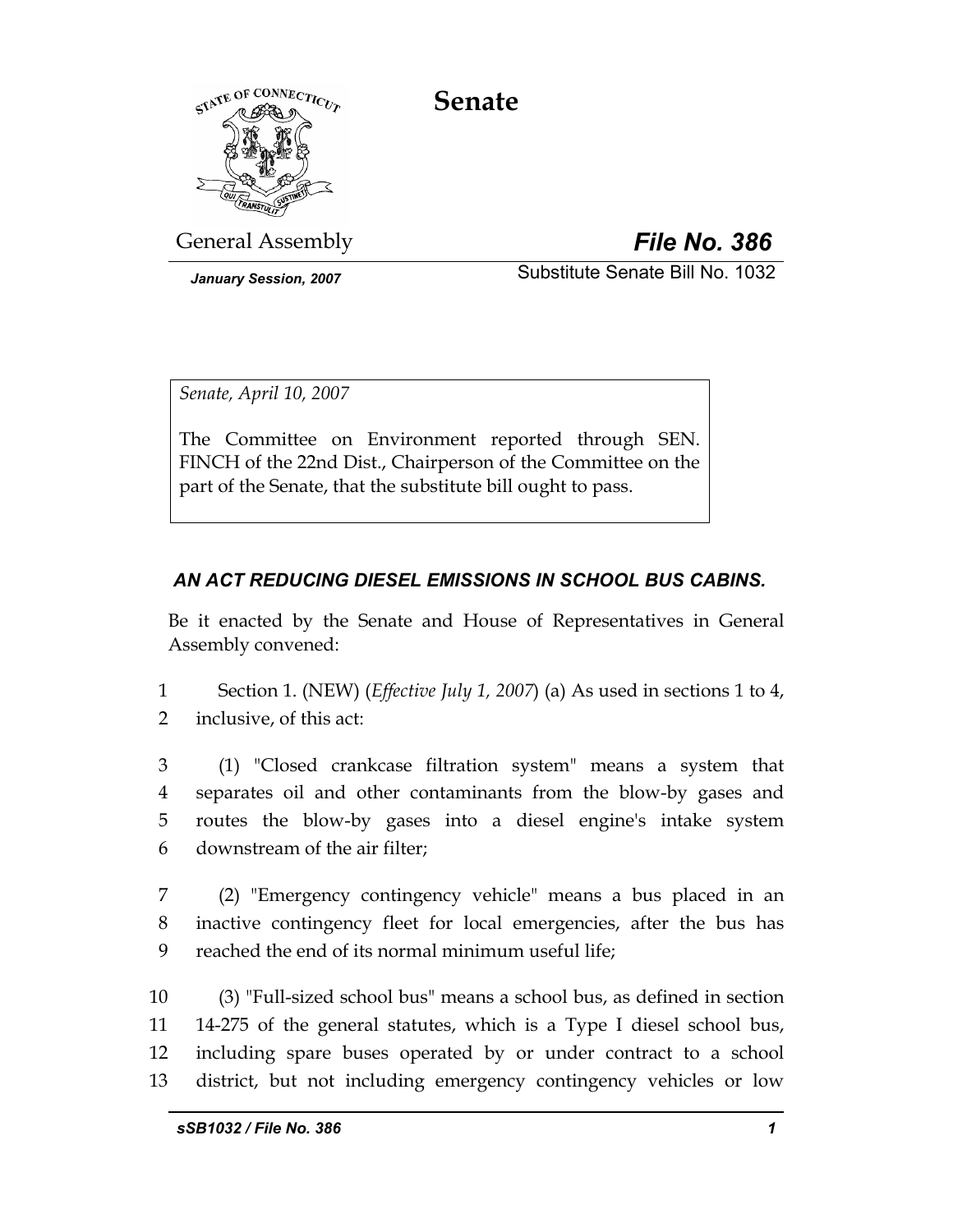# **Senate**



General Assembly *File No. 386*

*January Session, 2007* Substitute Senate Bill No. 1032

*Senate, April 10, 2007* 

The Committee on Environment reported through SEN. FINCH of the 22nd Dist., Chairperson of the Committee on the part of the Senate, that the substitute bill ought to pass.

## *AN ACT REDUCING DIESEL EMISSIONS IN SCHOOL BUS CABINS.*

Be it enacted by the Senate and House of Representatives in General Assembly convened:

1 Section 1. (NEW) (*Effective July 1, 2007*) (a) As used in sections 1 to 4, 2 inclusive, of this act:

3 (1) "Closed crankcase filtration system" means a system that 4 separates oil and other contaminants from the blow-by gases and 5 routes the blow-by gases into a diesel engine's intake system 6 downstream of the air filter;

7 (2) "Emergency contingency vehicle" means a bus placed in an 8 inactive contingency fleet for local emergencies, after the bus has 9 reached the end of its normal minimum useful life;

10 (3) "Full-sized school bus" means a school bus, as defined in section 11 14-275 of the general statutes, which is a Type I diesel school bus, 12 including spare buses operated by or under contract to a school 13 district, but not including emergency contingency vehicles or low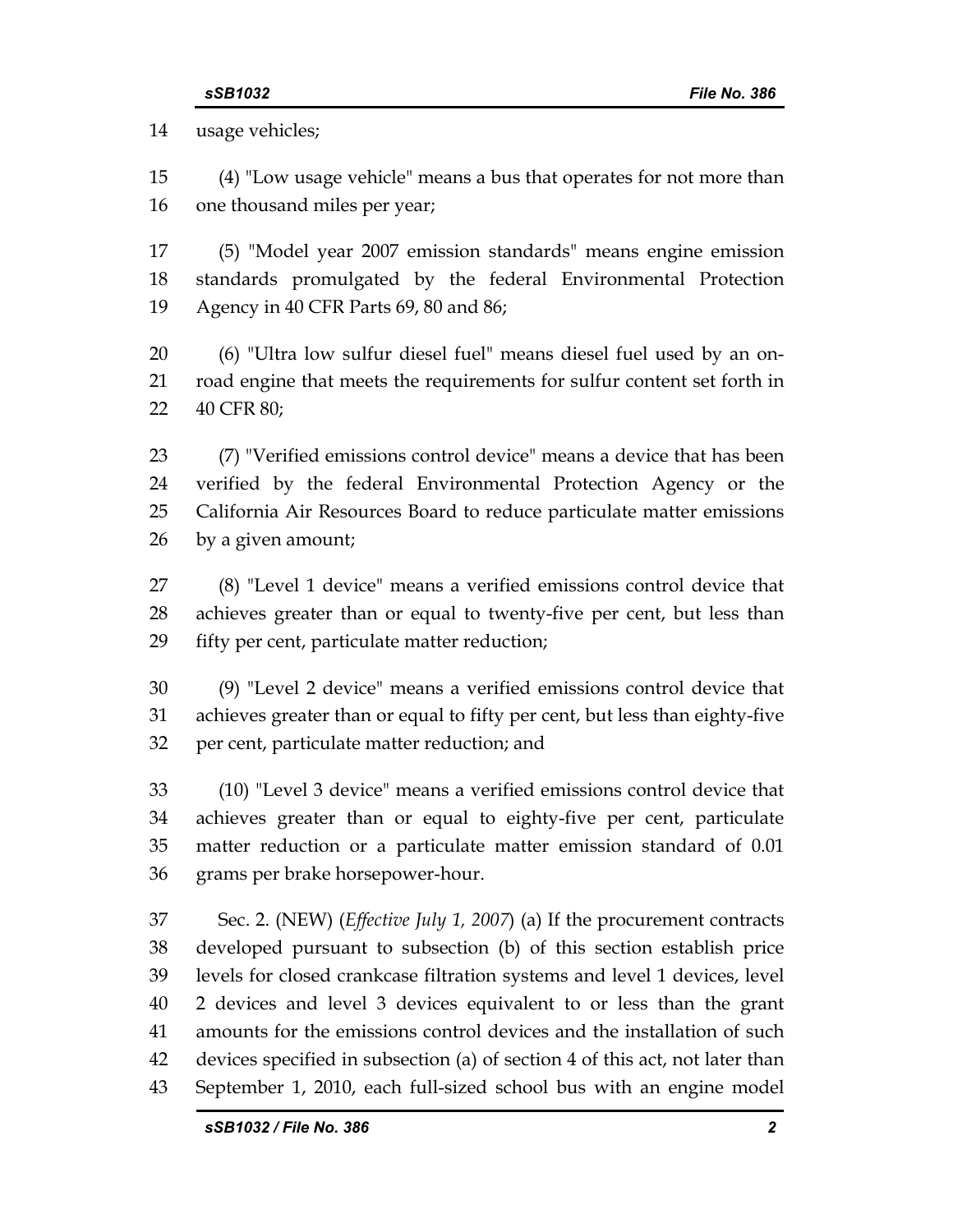14 usage vehicles;

15 (4) "Low usage vehicle" means a bus that operates for not more than 16 one thousand miles per year;

17 (5) "Model year 2007 emission standards" means engine emission 18 standards promulgated by the federal Environmental Protection 19 Agency in 40 CFR Parts 69, 80 and 86;

20 (6) "Ultra low sulfur diesel fuel" means diesel fuel used by an on-21 road engine that meets the requirements for sulfur content set forth in 22 40 CFR 80;

23 (7) "Verified emissions control device" means a device that has been 24 verified by the federal Environmental Protection Agency or the 25 California Air Resources Board to reduce particulate matter emissions 26 by a given amount;

27 (8) "Level 1 device" means a verified emissions control device that 28 achieves greater than or equal to twenty-five per cent, but less than 29 fifty per cent, particulate matter reduction;

30 (9) "Level 2 device" means a verified emissions control device that 31 achieves greater than or equal to fifty per cent, but less than eighty-five 32 per cent, particulate matter reduction; and

33 (10) "Level 3 device" means a verified emissions control device that 34 achieves greater than or equal to eighty-five per cent, particulate 35 matter reduction or a particulate matter emission standard of 0.01 36 grams per brake horsepower-hour.

37 Sec. 2. (NEW) (*Effective July 1, 2007*) (a) If the procurement contracts 38 developed pursuant to subsection (b) of this section establish price 39 levels for closed crankcase filtration systems and level 1 devices, level 40 2 devices and level 3 devices equivalent to or less than the grant 41 amounts for the emissions control devices and the installation of such 42 devices specified in subsection (a) of section 4 of this act, not later than 43 September 1, 2010, each full-sized school bus with an engine model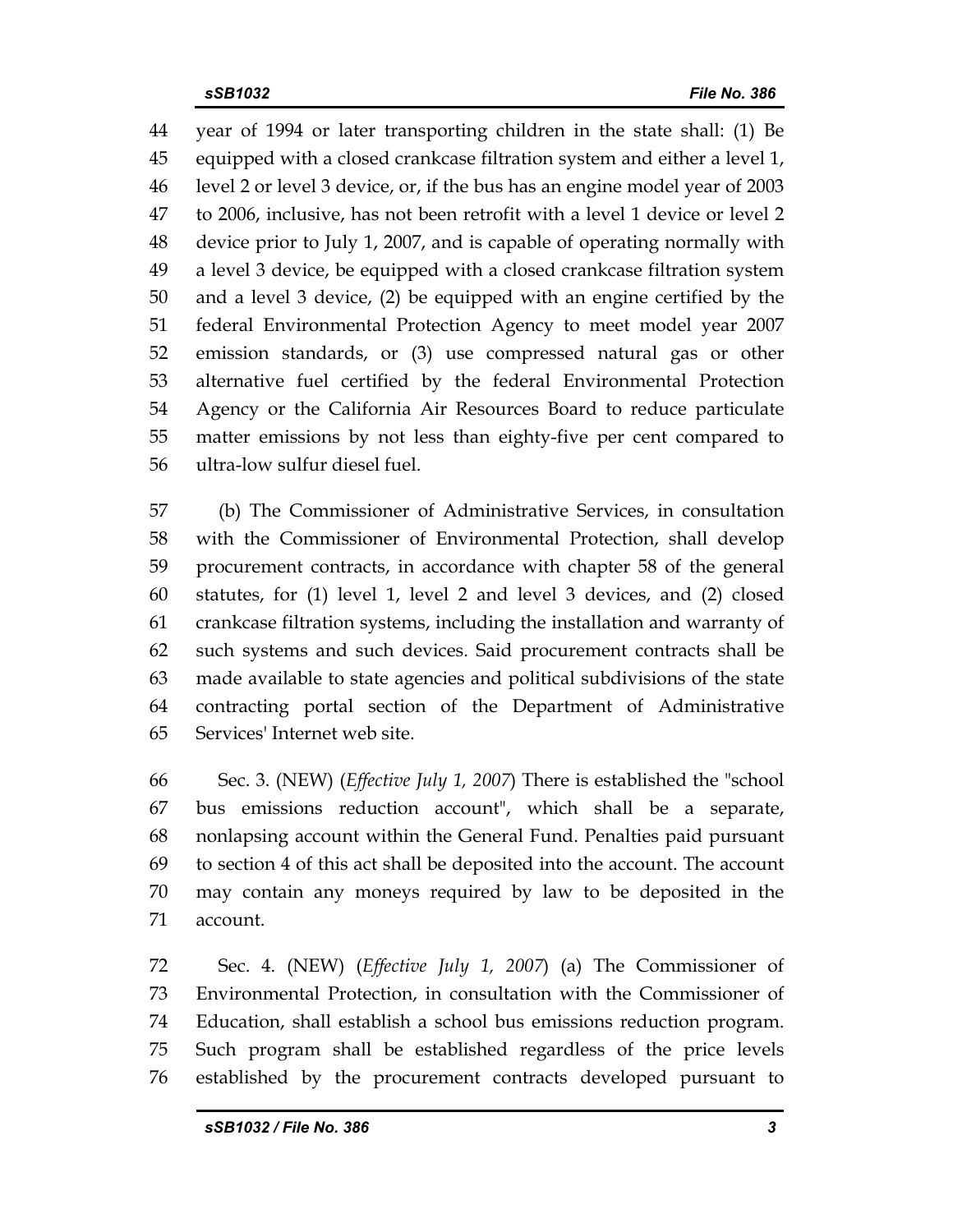44 year of 1994 or later transporting children in the state shall: (1) Be 45 equipped with a closed crankcase filtration system and either a level 1, 46 level 2 or level 3 device, or, if the bus has an engine model year of 2003 47 to 2006, inclusive, has not been retrofit with a level 1 device or level 2 48 device prior to July 1, 2007, and is capable of operating normally with 49 a level 3 device, be equipped with a closed crankcase filtration system 50 and a level 3 device, (2) be equipped with an engine certified by the 51 federal Environmental Protection Agency to meet model year 2007 52 emission standards, or (3) use compressed natural gas or other 53 alternative fuel certified by the federal Environmental Protection 54 Agency or the California Air Resources Board to reduce particulate 55 matter emissions by not less than eighty-five per cent compared to 56 ultra-low sulfur diesel fuel.

57 (b) The Commissioner of Administrative Services, in consultation 58 with the Commissioner of Environmental Protection, shall develop 59 procurement contracts, in accordance with chapter 58 of the general 60 statutes, for (1) level 1, level 2 and level 3 devices, and (2) closed 61 crankcase filtration systems, including the installation and warranty of 62 such systems and such devices. Said procurement contracts shall be 63 made available to state agencies and political subdivisions of the state 64 contracting portal section of the Department of Administrative 65 Services' Internet web site.

66 Sec. 3. (NEW) (*Effective July 1, 2007*) There is established the "school 67 bus emissions reduction account", which shall be a separate, 68 nonlapsing account within the General Fund. Penalties paid pursuant 69 to section 4 of this act shall be deposited into the account. The account 70 may contain any moneys required by law to be deposited in the 71 account.

72 Sec. 4. (NEW) (*Effective July 1, 2007*) (a) The Commissioner of 73 Environmental Protection, in consultation with the Commissioner of 74 Education, shall establish a school bus emissions reduction program. 75 Such program shall be established regardless of the price levels 76 established by the procurement contracts developed pursuant to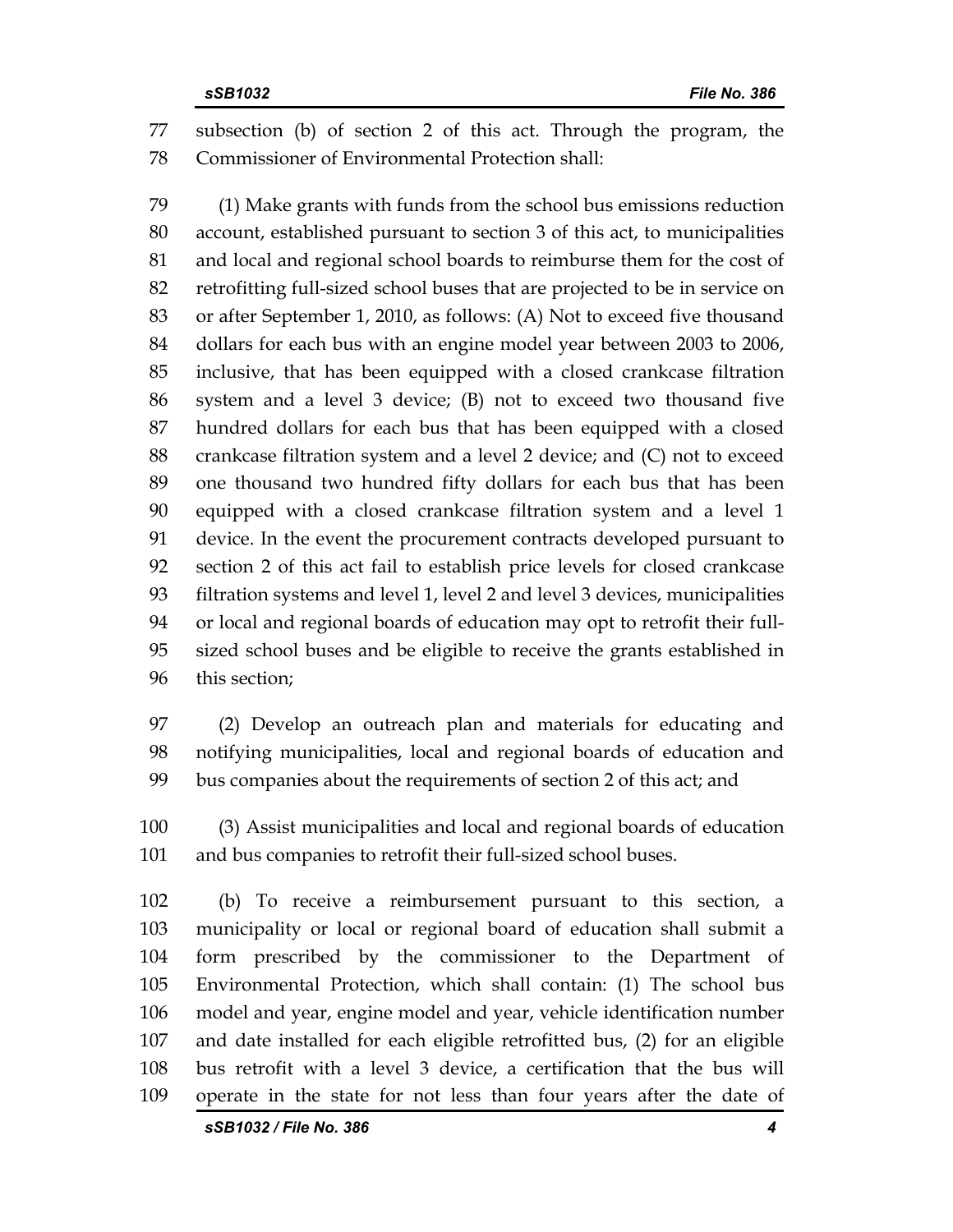77 subsection (b) of section 2 of this act. Through the program, the 78 Commissioner of Environmental Protection shall:

79 (1) Make grants with funds from the school bus emissions reduction 80 account, established pursuant to section 3 of this act, to municipalities 81 and local and regional school boards to reimburse them for the cost of 82 retrofitting full-sized school buses that are projected to be in service on 83 or after September 1, 2010, as follows: (A) Not to exceed five thousand 84 dollars for each bus with an engine model year between 2003 to 2006, 85 inclusive, that has been equipped with a closed crankcase filtration 86 system and a level 3 device; (B) not to exceed two thousand five 87 hundred dollars for each bus that has been equipped with a closed 88 crankcase filtration system and a level 2 device; and (C) not to exceed 89 one thousand two hundred fifty dollars for each bus that has been 90 equipped with a closed crankcase filtration system and a level 1 91 device. In the event the procurement contracts developed pursuant to 92 section 2 of this act fail to establish price levels for closed crankcase 93 filtration systems and level 1, level 2 and level 3 devices, municipalities 94 or local and regional boards of education may opt to retrofit their full-95 sized school buses and be eligible to receive the grants established in 96 this section;

97 (2) Develop an outreach plan and materials for educating and 98 notifying municipalities, local and regional boards of education and 99 bus companies about the requirements of section 2 of this act; and

100 (3) Assist municipalities and local and regional boards of education 101 and bus companies to retrofit their full-sized school buses.

102 (b) To receive a reimbursement pursuant to this section, a 103 municipality or local or regional board of education shall submit a 104 form prescribed by the commissioner to the Department of 105 Environmental Protection, which shall contain: (1) The school bus 106 model and year, engine model and year, vehicle identification number 107 and date installed for each eligible retrofitted bus, (2) for an eligible 108 bus retrofit with a level 3 device, a certification that the bus will 109 operate in the state for not less than four years after the date of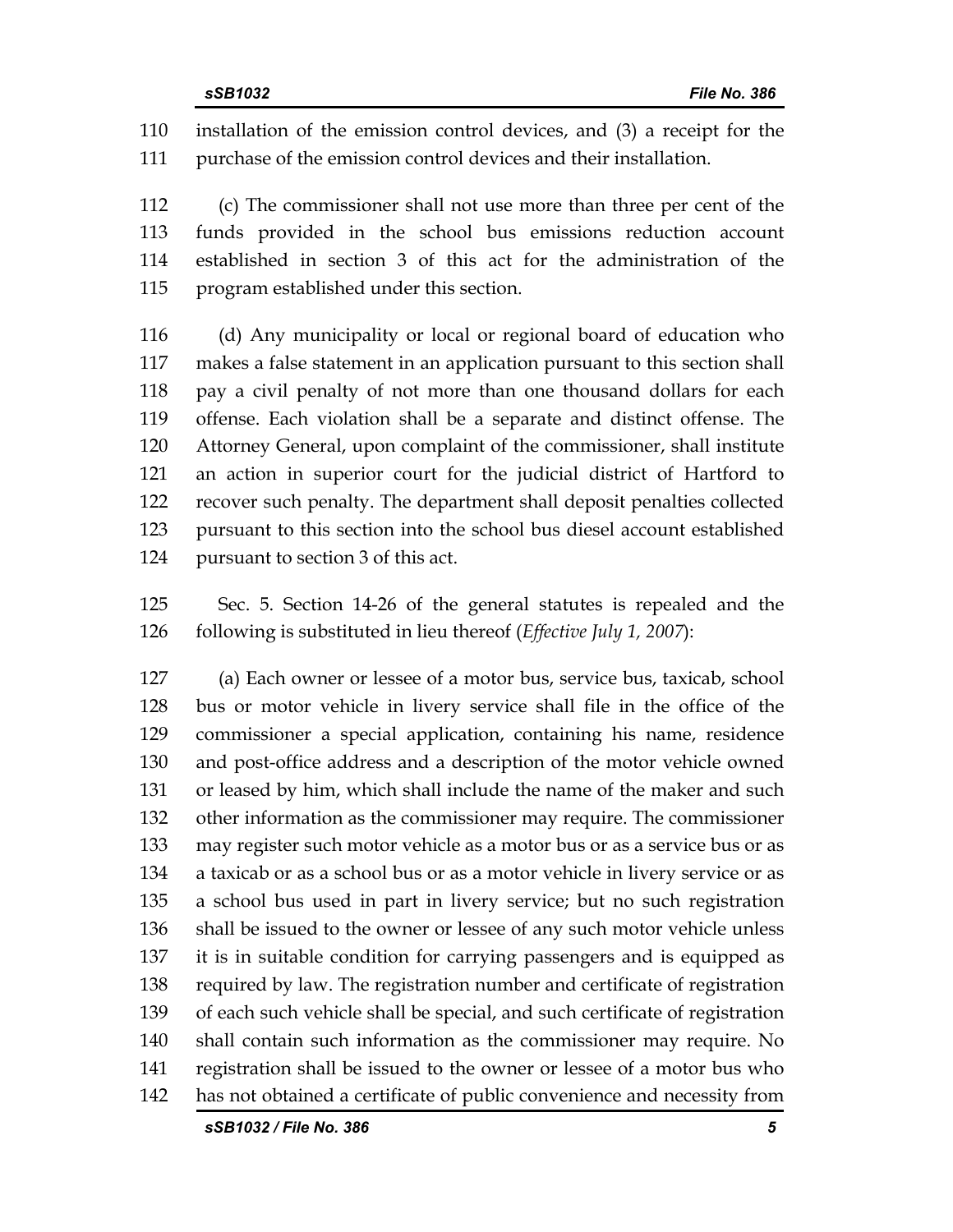110 installation of the emission control devices, and (3) a receipt for the 111 purchase of the emission control devices and their installation.

112 (c) The commissioner shall not use more than three per cent of the 113 funds provided in the school bus emissions reduction account 114 established in section 3 of this act for the administration of the 115 program established under this section.

116 (d) Any municipality or local or regional board of education who 117 makes a false statement in an application pursuant to this section shall 118 pay a civil penalty of not more than one thousand dollars for each 119 offense. Each violation shall be a separate and distinct offense. The 120 Attorney General, upon complaint of the commissioner, shall institute 121 an action in superior court for the judicial district of Hartford to 122 recover such penalty. The department shall deposit penalties collected 123 pursuant to this section into the school bus diesel account established 124 pursuant to section 3 of this act.

125 Sec. 5. Section 14-26 of the general statutes is repealed and the 126 following is substituted in lieu thereof (*Effective July 1, 2007*):

127 (a) Each owner or lessee of a motor bus, service bus, taxicab, school 128 bus or motor vehicle in livery service shall file in the office of the 129 commissioner a special application, containing his name, residence 130 and post-office address and a description of the motor vehicle owned 131 or leased by him, which shall include the name of the maker and such 132 other information as the commissioner may require. The commissioner 133 may register such motor vehicle as a motor bus or as a service bus or as 134 a taxicab or as a school bus or as a motor vehicle in livery service or as 135 a school bus used in part in livery service; but no such registration 136 shall be issued to the owner or lessee of any such motor vehicle unless 137 it is in suitable condition for carrying passengers and is equipped as 138 required by law. The registration number and certificate of registration 139 of each such vehicle shall be special, and such certificate of registration 140 shall contain such information as the commissioner may require. No 141 registration shall be issued to the owner or lessee of a motor bus who 142 has not obtained a certificate of public convenience and necessity from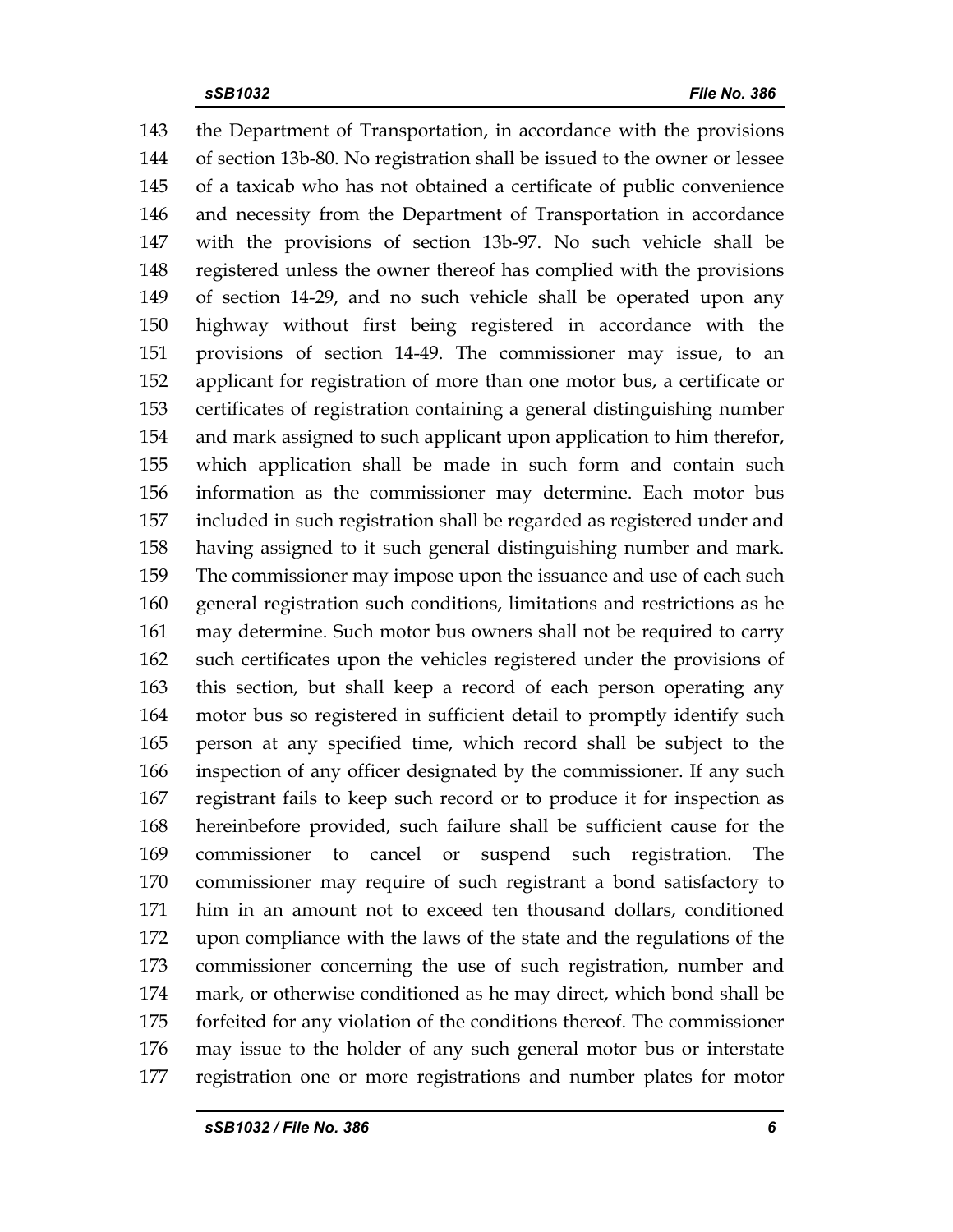143 the Department of Transportation, in accordance with the provisions 144 of section 13b-80. No registration shall be issued to the owner or lessee 145 of a taxicab who has not obtained a certificate of public convenience 146 and necessity from the Department of Transportation in accordance 147 with the provisions of section 13b-97. No such vehicle shall be 148 registered unless the owner thereof has complied with the provisions 149 of section 14-29, and no such vehicle shall be operated upon any 150 highway without first being registered in accordance with the 151 provisions of section 14-49. The commissioner may issue, to an 152 applicant for registration of more than one motor bus, a certificate or 153 certificates of registration containing a general distinguishing number 154 and mark assigned to such applicant upon application to him therefor, 155 which application shall be made in such form and contain such 156 information as the commissioner may determine. Each motor bus 157 included in such registration shall be regarded as registered under and 158 having assigned to it such general distinguishing number and mark. 159 The commissioner may impose upon the issuance and use of each such 160 general registration such conditions, limitations and restrictions as he 161 may determine. Such motor bus owners shall not be required to carry 162 such certificates upon the vehicles registered under the provisions of 163 this section, but shall keep a record of each person operating any 164 motor bus so registered in sufficient detail to promptly identify such 165 person at any specified time, which record shall be subject to the 166 inspection of any officer designated by the commissioner. If any such 167 registrant fails to keep such record or to produce it for inspection as 168 hereinbefore provided, such failure shall be sufficient cause for the 169 commissioner to cancel or suspend such registration. The 170 commissioner may require of such registrant a bond satisfactory to 171 him in an amount not to exceed ten thousand dollars, conditioned 172 upon compliance with the laws of the state and the regulations of the 173 commissioner concerning the use of such registration, number and 174 mark, or otherwise conditioned as he may direct, which bond shall be 175 forfeited for any violation of the conditions thereof. The commissioner 176 may issue to the holder of any such general motor bus or interstate 177 registration one or more registrations and number plates for motor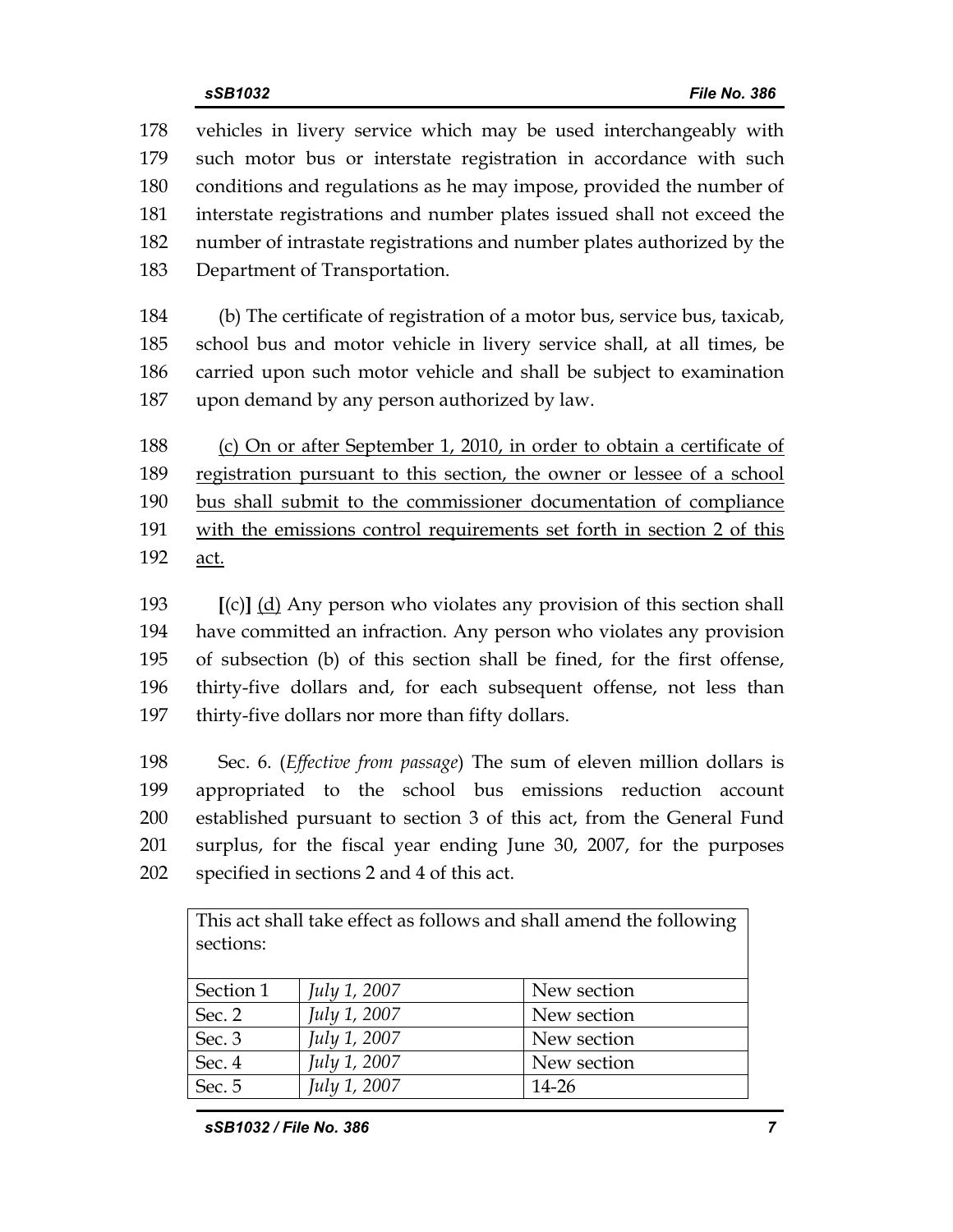178 vehicles in livery service which may be used interchangeably with 179 such motor bus or interstate registration in accordance with such 180 conditions and regulations as he may impose, provided the number of 181 interstate registrations and number plates issued shall not exceed the 182 number of intrastate registrations and number plates authorized by the 183 Department of Transportation.

184 (b) The certificate of registration of a motor bus, service bus, taxicab, 185 school bus and motor vehicle in livery service shall, at all times, be 186 carried upon such motor vehicle and shall be subject to examination 187 upon demand by any person authorized by law.

188 (c) On or after September 1, 2010, in order to obtain a certificate of 189 registration pursuant to this section, the owner or lessee of a school 190 bus shall submit to the commissioner documentation of compliance 191 with the emissions control requirements set forth in section 2 of this 192 act.

193 **[**(c)**]** (d) Any person who violates any provision of this section shall 194 have committed an infraction. Any person who violates any provision 195 of subsection (b) of this section shall be fined, for the first offense, 196 thirty-five dollars and, for each subsequent offense, not less than 197 thirty-five dollars nor more than fifty dollars.

198 Sec. 6. (*Effective from passage*) The sum of eleven million dollars is 199 appropriated to the school bus emissions reduction account 200 established pursuant to section 3 of this act, from the General Fund 201 surplus, for the fiscal year ending June 30, 2007, for the purposes 202 specified in sections 2 and 4 of this act.

This act shall take effect as follows and shall amend the following sections:

| Section 1 | <i>July 1, 2007</i> | New section |
|-----------|---------------------|-------------|
| Sec. 2    | July 1, 2007        | New section |
| Sec. 3    | <i>July 1, 2007</i> | New section |
| Sec. 4    | <i>July 1, 2007</i> | New section |
| Sec. 5    | July 1, 2007        | 14-26       |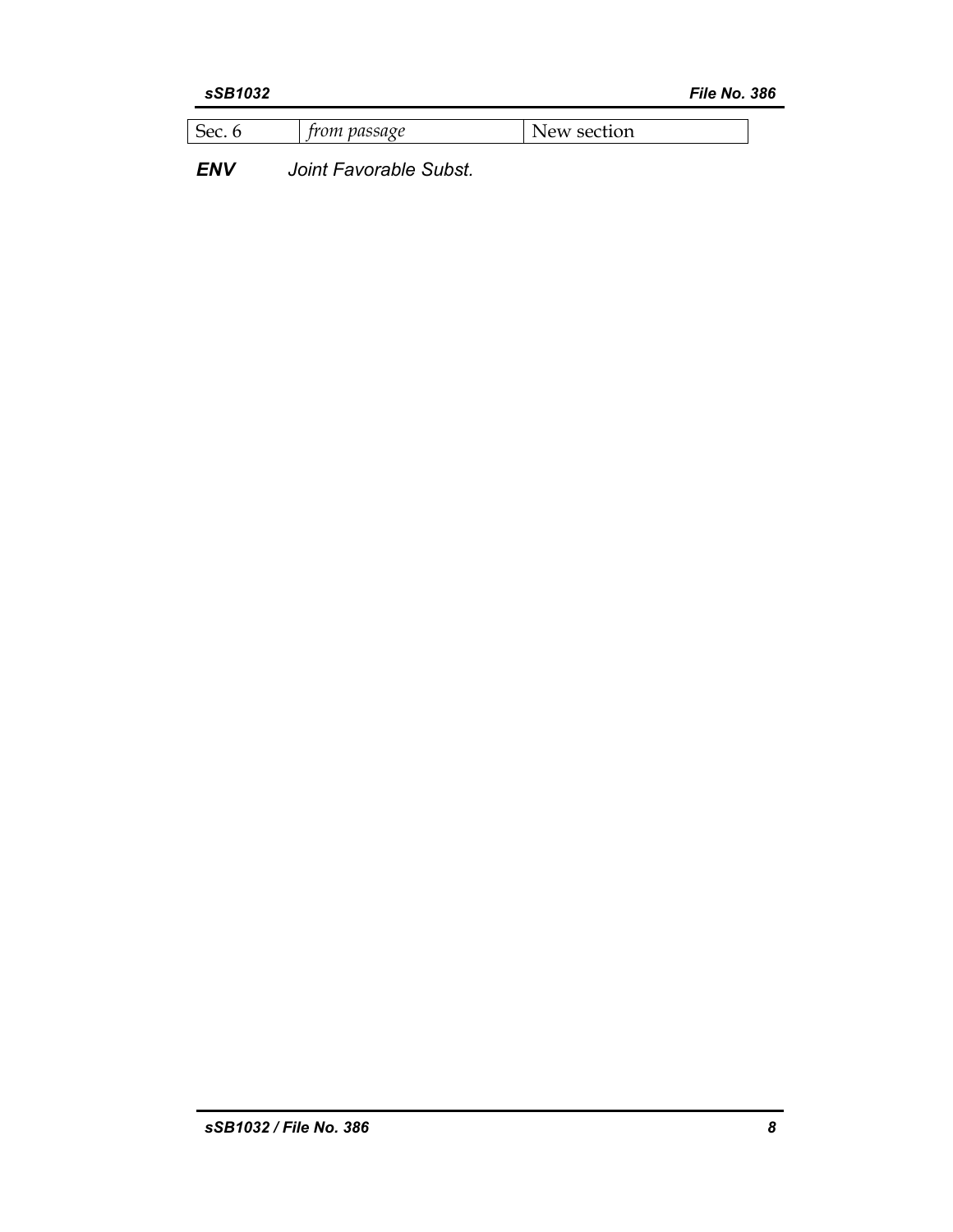| $\sim$<br>$\alpha$<br>$-1$<br>-<br>A.<br>.u<br>----- |  |  |
|------------------------------------------------------|--|--|
|                                                      |  |  |

*ENV Joint Favorable Subst.*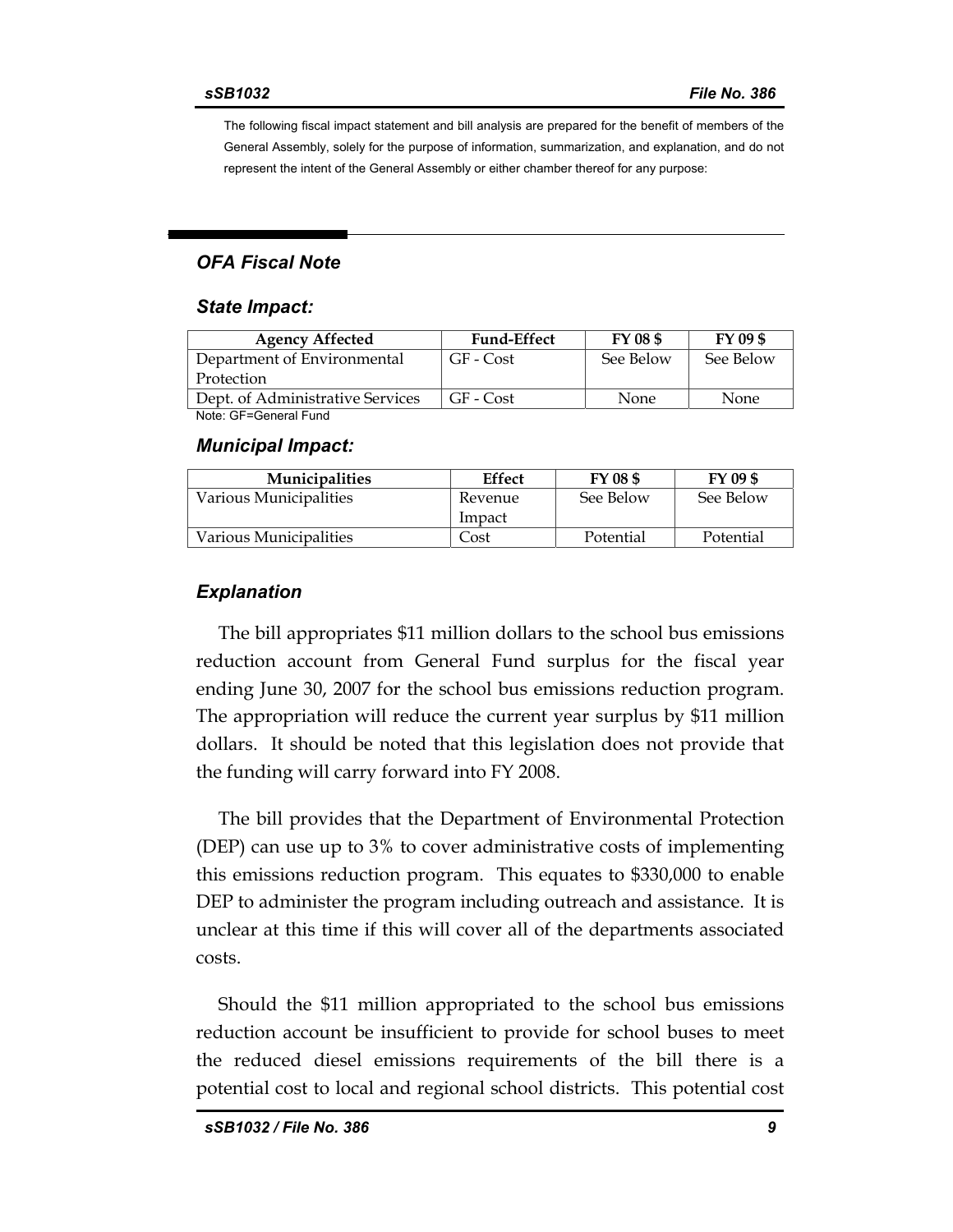The following fiscal impact statement and bill analysis are prepared for the benefit of members of the General Assembly, solely for the purpose of information, summarization, and explanation, and do not represent the intent of the General Assembly or either chamber thereof for any purpose:

#### *OFA Fiscal Note*

#### *State Impact:*

| <b>Agency Affected</b>           | <b>Fund-Effect</b> | FY 08 \$  | FY 09 \$  |  |  |
|----------------------------------|--------------------|-----------|-----------|--|--|
| Department of Environmental      | GF - Cost          | See Below | See Below |  |  |
| Protection                       |                    |           |           |  |  |
| Dept. of Administrative Services | $GF - Cost$        | None.     | None.     |  |  |
| Note: GF=General Fund            |                    |           |           |  |  |

#### *Municipal Impact:*

| <b>Municipalities</b>  | <b>Effect</b> | FY 08 \$  | FY 09 \$  |
|------------------------|---------------|-----------|-----------|
| Various Municipalities | Revenue       | See Below | See Below |
|                        | Impact        |           |           |
| Various Municipalities | Cost          | Potential | Potential |

#### *Explanation*

The bill appropriates \$11 million dollars to the school bus emissions reduction account from General Fund surplus for the fiscal year ending June 30, 2007 for the school bus emissions reduction program. The appropriation will reduce the current year surplus by \$11 million dollars. It should be noted that this legislation does not provide that the funding will carry forward into FY 2008.

The bill provides that the Department of Environmental Protection (DEP) can use up to 3% to cover administrative costs of implementing this emissions reduction program. This equates to \$330,000 to enable DEP to administer the program including outreach and assistance. It is unclear at this time if this will cover all of the departments associated costs.

Should the \$11 million appropriated to the school bus emissions reduction account be insufficient to provide for school buses to meet the reduced diesel emissions requirements of the bill there is a potential cost to local and regional school districts. This potential cost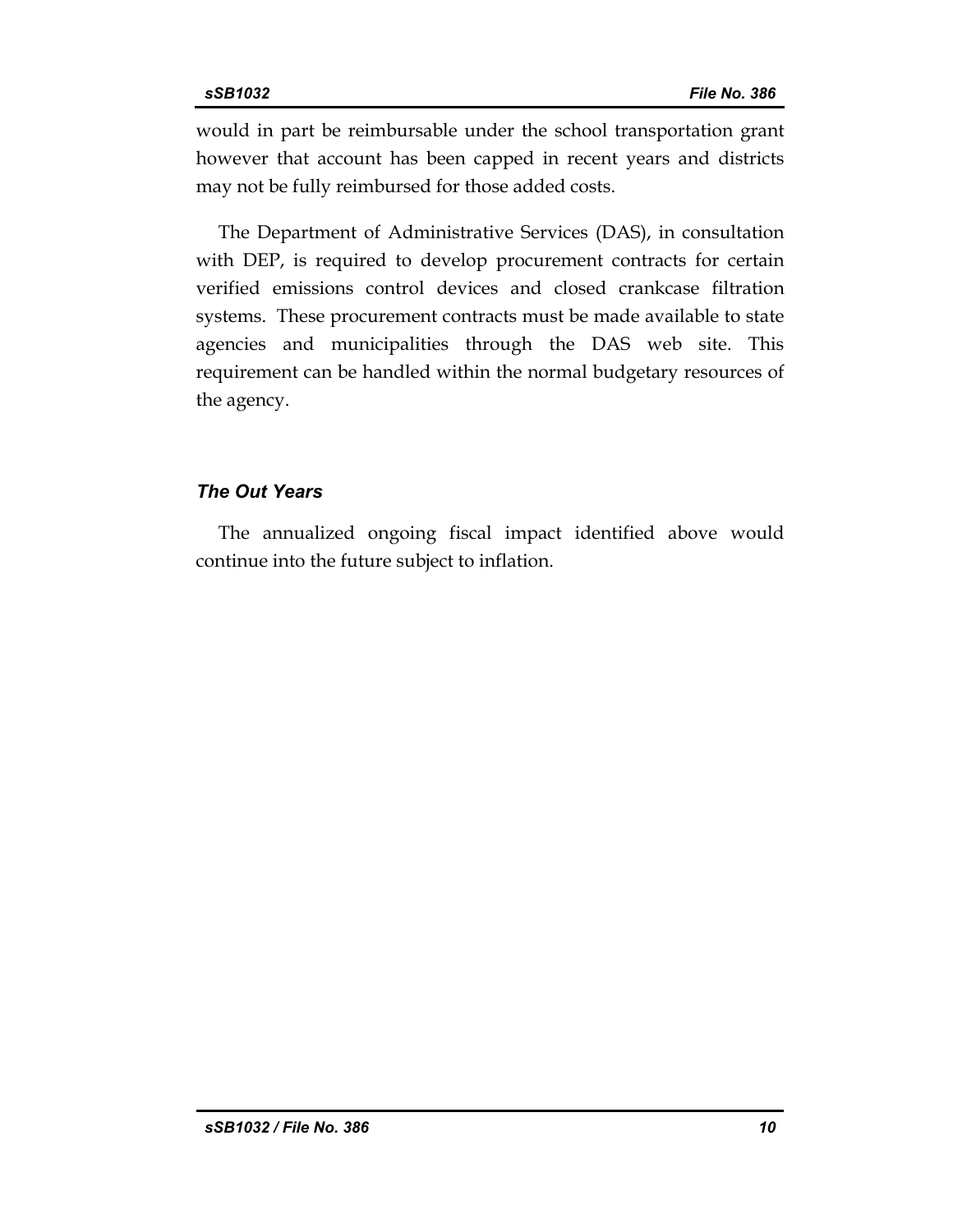would in part be reimbursable under the school transportation grant however that account has been capped in recent years and districts may not be fully reimbursed for those added costs.

The Department of Administrative Services (DAS), in consultation with DEP, is required to develop procurement contracts for certain verified emissions control devices and closed crankcase filtration systems. These procurement contracts must be made available to state agencies and municipalities through the DAS web site. This requirement can be handled within the normal budgetary resources of the agency.

### *The Out Years*

The annualized ongoing fiscal impact identified above would continue into the future subject to inflation.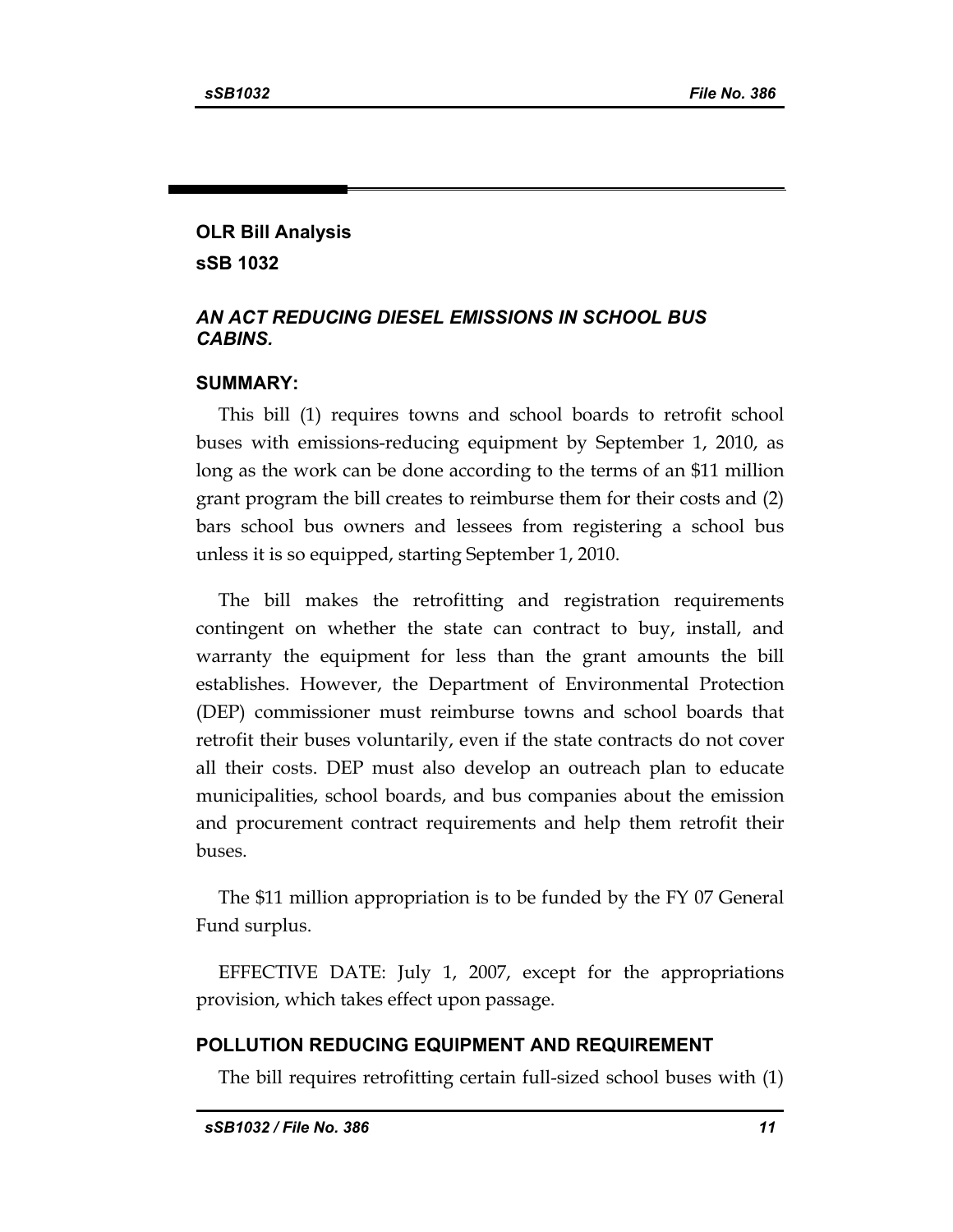# **OLR Bill Analysis sSB 1032**

## *AN ACT REDUCING DIESEL EMISSIONS IN SCHOOL BUS CABINS.*

### **SUMMARY:**

This bill (1) requires towns and school boards to retrofit school buses with emissions-reducing equipment by September 1, 2010, as long as the work can be done according to the terms of an \$11 million grant program the bill creates to reimburse them for their costs and (2) bars school bus owners and lessees from registering a school bus unless it is so equipped, starting September 1, 2010.

The bill makes the retrofitting and registration requirements contingent on whether the state can contract to buy, install, and warranty the equipment for less than the grant amounts the bill establishes. However, the Department of Environmental Protection (DEP) commissioner must reimburse towns and school boards that retrofit their buses voluntarily, even if the state contracts do not cover all their costs. DEP must also develop an outreach plan to educate municipalities, school boards, and bus companies about the emission and procurement contract requirements and help them retrofit their buses.

The \$11 million appropriation is to be funded by the FY 07 General Fund surplus.

EFFECTIVE DATE: July 1, 2007, except for the appropriations provision, which takes effect upon passage.

### **POLLUTION REDUCING EQUIPMENT AND REQUIREMENT**

The bill requires retrofitting certain full-sized school buses with (1)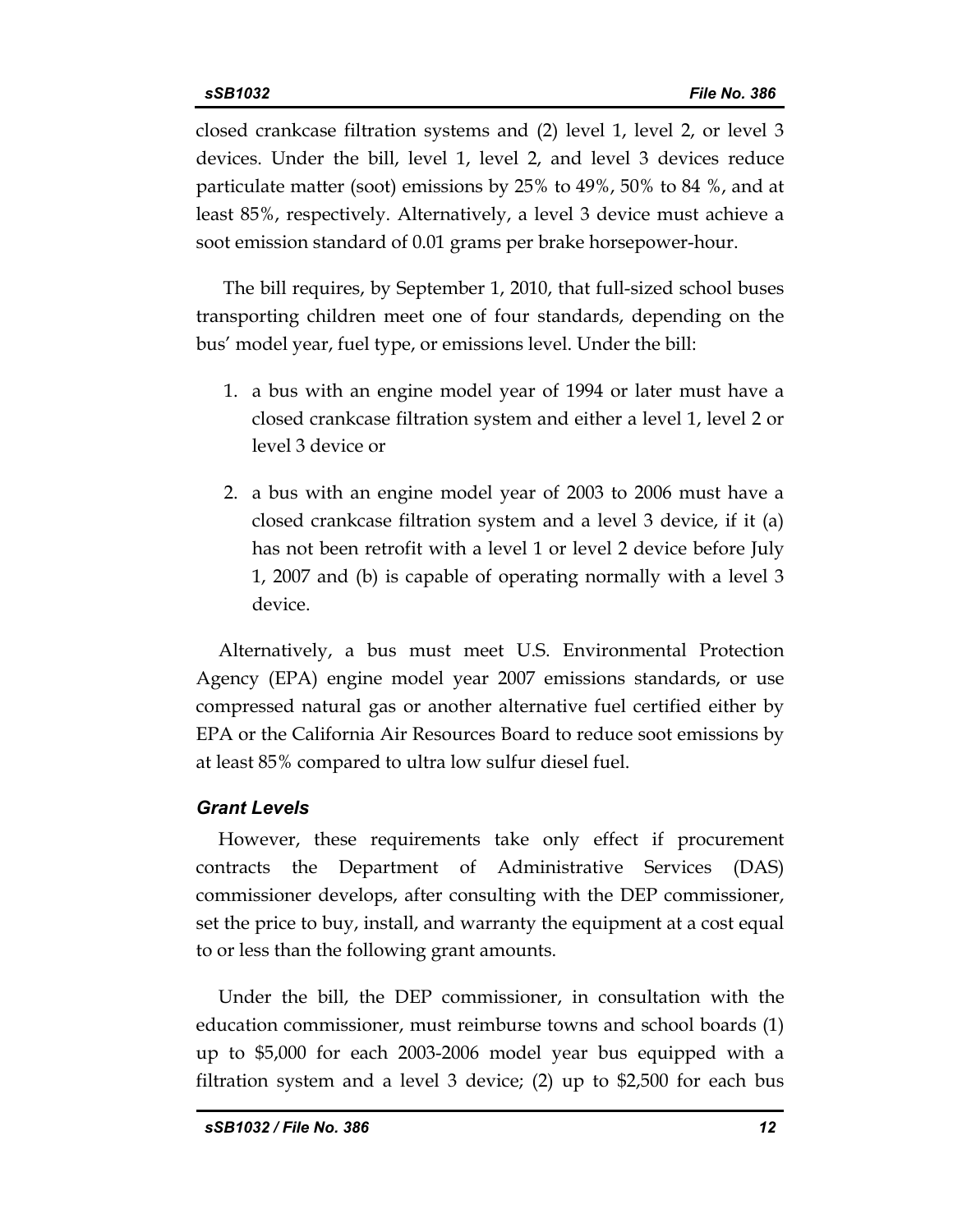closed crankcase filtration systems and (2) level 1, level 2, or level 3 devices. Under the bill, level 1, level 2, and level 3 devices reduce particulate matter (soot) emissions by 25% to 49%, 50% to 84 %, and at least 85%, respectively. Alternatively, a level 3 device must achieve a soot emission standard of 0.01 grams per brake horsepower-hour.

 The bill requires, by September 1, 2010, that full-sized school buses transporting children meet one of four standards, depending on the bus' model year, fuel type, or emissions level. Under the bill:

- 1. a bus with an engine model year of 1994 or later must have a closed crankcase filtration system and either a level 1, level 2 or level 3 device or
- 2. a bus with an engine model year of 2003 to 2006 must have a closed crankcase filtration system and a level 3 device, if it (a) has not been retrofit with a level 1 or level 2 device before July 1, 2007 and (b) is capable of operating normally with a level 3 device.

Alternatively, a bus must meet U.S. Environmental Protection Agency (EPA) engine model year 2007 emissions standards, or use compressed natural gas or another alternative fuel certified either by EPA or the California Air Resources Board to reduce soot emissions by at least 85% compared to ultra low sulfur diesel fuel.

## *Grant Levels*

However, these requirements take only effect if procurement contracts the Department of Administrative Services (DAS) commissioner develops, after consulting with the DEP commissioner, set the price to buy, install, and warranty the equipment at a cost equal to or less than the following grant amounts.

Under the bill, the DEP commissioner, in consultation with the education commissioner, must reimburse towns and school boards (1) up to \$5,000 for each 2003-2006 model year bus equipped with a filtration system and a level 3 device; (2) up to \$2,500 for each bus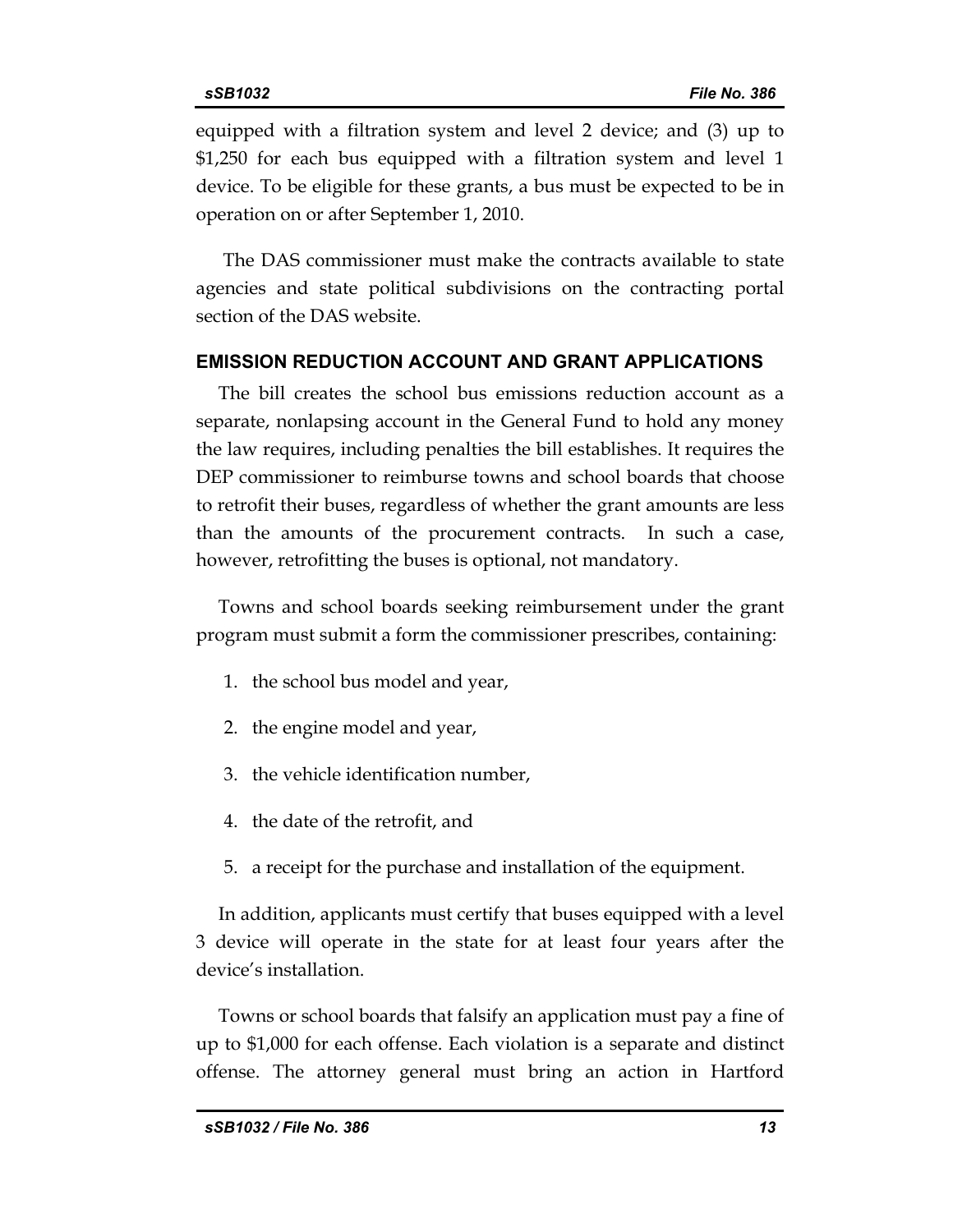equipped with a filtration system and level 2 device; and (3) up to \$1,250 for each bus equipped with a filtration system and level 1 device. To be eligible for these grants, a bus must be expected to be in operation on or after September 1, 2010.

 The DAS commissioner must make the contracts available to state agencies and state political subdivisions on the contracting portal section of the DAS website.

### **EMISSION REDUCTION ACCOUNT AND GRANT APPLICATIONS**

The bill creates the school bus emissions reduction account as a separate, nonlapsing account in the General Fund to hold any money the law requires, including penalties the bill establishes. It requires the DEP commissioner to reimburse towns and school boards that choose to retrofit their buses, regardless of whether the grant amounts are less than the amounts of the procurement contracts. In such a case, however, retrofitting the buses is optional, not mandatory.

Towns and school boards seeking reimbursement under the grant program must submit a form the commissioner prescribes, containing:

- 1. the school bus model and year,
- 2. the engine model and year,
- 3. the vehicle identification number,
- 4. the date of the retrofit, and
- 5. a receipt for the purchase and installation of the equipment.

In addition, applicants must certify that buses equipped with a level 3 device will operate in the state for at least four years after the device's installation.

Towns or school boards that falsify an application must pay a fine of up to \$1,000 for each offense. Each violation is a separate and distinct offense. The attorney general must bring an action in Hartford